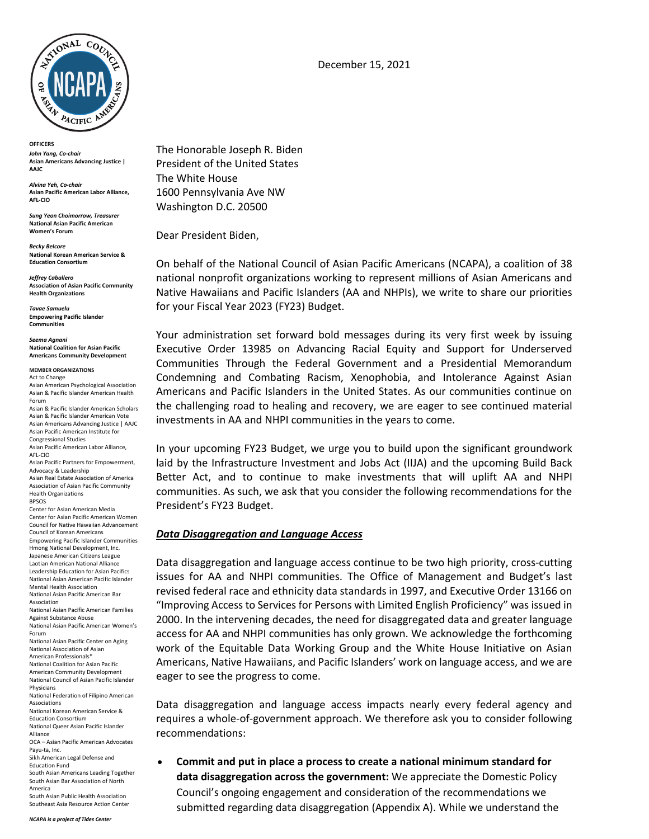

**OFFICERS** *John Yang, Co-chair* **Asian Americans Advancing Justice | AAJC** 

*Alvina Yeh, Co-chair* **Asian Pacific American Labor Alliance, AFL-CIO**

*Sung Yeon Choimorrow, Treasurer* **National Asian Pacific American Women's Forum**

*Becky Belcore* **National Korean American Service & Education Consortium**

*Jeffrey Caballero* **Association of Asian Pacific Community Health Organizations**

*Tavae Samuelu* **Empowering Pacific Islander Communities**

*Seema Agnani* **National Coalition for Asian Pacific Americans Community Development**

**MEMBER ORGANIZATIONS**

Act to Change Asian American Psychological Association Asian & Pacific Islander American Health Forum

Asian & Pacific Islander American Scholars Asian & Pacific Islander American Vote Asian Americans Advancing Justice | AAJC Asian Pacific American Institute for Congressional Studies

Asian Pacific American Labor Alliance, AFL-CIO

Asian Pacific Partners for Empowerment, Advocacy & Leadership Asian Real Estate Association of America

Association of Asian Pacific Community Health Organizations BPSOS Center for Asian American Media Center for Asian Pacific American Women

Council for Native Hawaiian Advancement Council of Korean Americans Empowering Pacific Islander Communities Hmong National Development, Inc. Japanese American Citizens League Laotian American National Alliance Leadership Education for Asian Pacifics National Asian American Pacific Islander Mental Health Association National Asian Pacific American Bar Association National Asian Pacific American Families Against Substance Abuse National Asian Pacific American Women's Forum National Asian Pacific Center on Aging National Association of Asian American Professionals\* National Coalition for Asian Pacific American Community Development National Council of Asian Pacific Islander

Physicians National Federation of Filipino American Associations

National Korean American Service & Education Consortium

National Queer Asian Pacific Islander Alliance

OCA – Asian Pacific American Advocates Payu-ta, Inc.

Sikh American Legal Defense and Education Fund

South Asian Americans Leading Together South Asian Bar Association of North

America South Asian Public Health Association December 15, 2021

The Honorable Joseph R. Biden President of the United States The White House 1600 Pennsylvania Ave NW Washington D.C. 20500

Dear President Biden,

On behalf of the National Council of Asian Pacific Americans (NCAPA), a coalition of 38 national nonprofit organizations working to represent millions of Asian Americans and Native Hawaiians and Pacific Islanders (AA and NHPIs), we write to share our priorities for your Fiscal Year 2023 (FY23) Budget.

Your administration set forward bold messages during its very first week by issuing Executive Order 13985 on Advancing Racial Equity and Support for Underserved Communities Through the Federal Government and a Presidential Memorandum Condemning and Combating Racism, Xenophobia, and Intolerance Against Asian Americans and Pacific Islanders in the United States. As our communities continue on the challenging road to healing and recovery, we are eager to see continued material investments in AA and NHPI communities in the years to come.

In your upcoming FY23 Budget, we urge you to build upon the significant groundwork laid by the Infrastructure Investment and Jobs Act (IIJA) and the upcoming Build Back Better Act, and to continue to make investments that will uplift AA and NHPI communities. As such, we ask that you consider the following recommendations for the President's FY23 Budget.

### *Data Disaggregation and Language Access*

Data disaggregation and language access continue to be two high priority, cross-cutting issues for AA and NHPI communities. The Office of Management and Budget's last revised federal race and ethnicity data standards in 1997, and Executive Order 13166 on "Improving Access to Services for Persons with Limited English Proficiency" was issued in 2000. In the intervening decades, the need for disaggregated data and greater language access for AA and NHPI communities has only grown. We acknowledge the forthcoming work of the Equitable Data Working Group and the White House Initiative on Asian Americans, Native Hawaiians, and Pacific Islanders' work on language access, and we are eager to see the progress to come.

Data disaggregation and language access impacts nearly every federal agency and requires a whole-of-government approach. We therefore ask you to consider following recommendations:

• **Commit and put in place a process to create a national minimum standard for data disaggregation across the government:** We appreciate the Domestic Policy Council's ongoing engagement and consideration of the recommendations we submitted regarding data disaggregation (Appendix A). While we understand the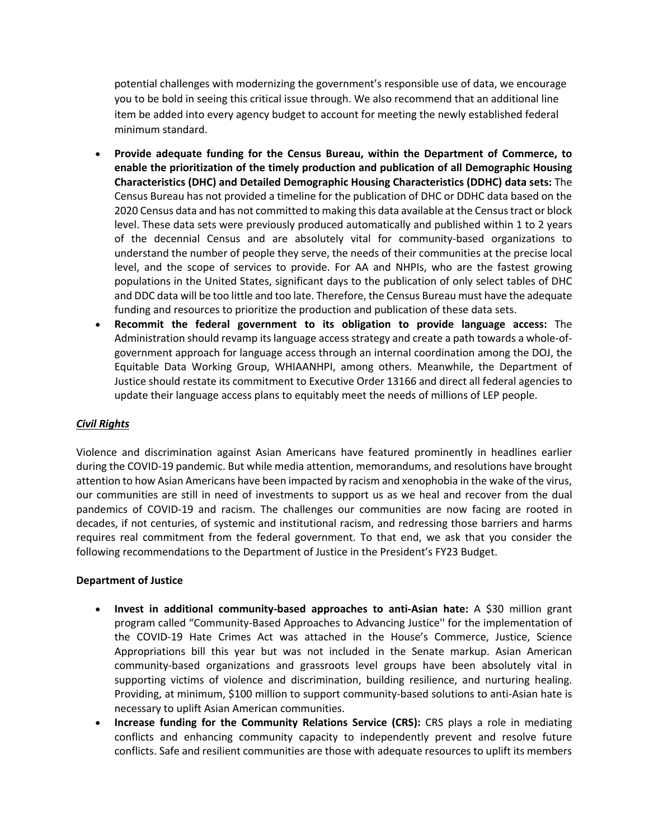potential challenges with modernizing the government's responsible use of data, we encourage you to be bold in seeing this critical issue through. We also recommend that an additional line item be added into every agency budget to account for meeting the newly established federal minimum standard.

- **Provide adequate funding for the Census Bureau, within the Department of Commerce, to enable the prioritization of the timely production and publication of all Demographic Housing Characteristics (DHC) and Detailed Demographic Housing Characteristics (DDHC) data sets:** The Census Bureau has not provided a timeline for the publication of DHC or DDHC data based on the 2020 Census data and has not committed to making this data available at the Census tract or block level. These data sets were previously produced automatically and published within 1 to 2 years of the decennial Census and are absolutely vital for community-based organizations to understand the number of people they serve, the needs of their communities at the precise local level, and the scope of services to provide. For AA and NHPIs, who are the fastest growing populations in the United States, significant days to the publication of only select tables of DHC and DDC data will be too little and too late. Therefore, the Census Bureau must have the adequate funding and resources to prioritize the production and publication of these data sets.
- **Recommit the federal government to its obligation to provide language access:** The Administration should revamp its language access strategy and create a path towards a whole-ofgovernment approach for language access through an internal coordination among the DOJ, the Equitable Data Working Group, WHIAANHPI, among others. Meanwhile, the Department of Justice should restate its commitment to Executive Order 13166 and direct all federal agencies to update their language access plans to equitably meet the needs of millions of LEP people.

## *Civil Rights*

Violence and discrimination against Asian Americans have featured prominently in headlines earlier during the COVID-19 pandemic. But while media attention, memorandums, and resolutions have brought attention to how Asian Americans have been impacted by racism and xenophobia in the wake of the virus, our communities are still in need of investments to support us as we heal and recover from the dual pandemics of COVID-19 and racism. The challenges our communities are now facing are rooted in decades, if not centuries, of systemic and institutional racism, and redressing those barriers and harms requires real commitment from the federal government. To that end, we ask that you consider the following recommendations to the Department of Justice in the President's FY23 Budget.

### **Department of Justice**

- **Invest in additional community-based approaches to anti-Asian hate:** A \$30 million grant program called "Community-Based Approaches to Advancing Justice'' for the implementation of the COVID-19 Hate Crimes Act was attached in the House's Commerce, Justice, Science Appropriations bill this year but was not included in the Senate markup. Asian American community-based organizations and grassroots level groups have been absolutely vital in supporting victims of violence and discrimination, building resilience, and nurturing healing. Providing, at minimum, \$100 million to support community-based solutions to anti-Asian hate is necessary to uplift Asian American communities.
- **Increase funding for the Community Relations Service (CRS):** CRS plays a role in mediating conflicts and enhancing community capacity to independently prevent and resolve future conflicts. Safe and resilient communities are those with adequate resources to uplift its members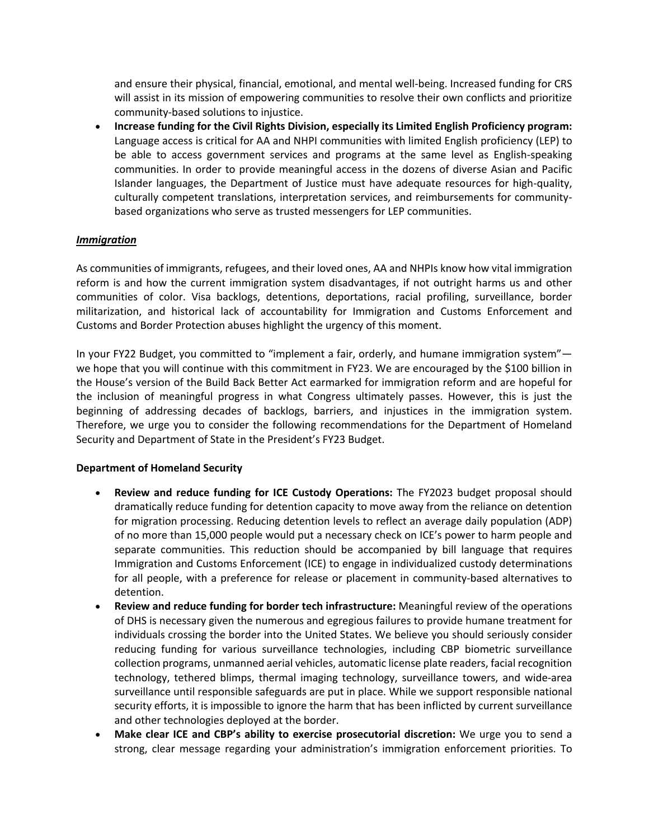and ensure their physical, financial, emotional, and mental well-being. Increased funding for CRS will assist in its mission of empowering communities to resolve their own conflicts and prioritize community-based solutions to injustice.

• **Increase funding for the Civil Rights Division, especially its Limited English Proficiency program:**  Language access is critical for AA and NHPI communities with limited English proficiency (LEP) to be able to access government services and programs at the same level as English-speaking communities. In order to provide meaningful access in the dozens of diverse Asian and Pacific Islander languages, the Department of Justice must have adequate resources for high-quality, culturally competent translations, interpretation services, and reimbursements for communitybased organizations who serve as trusted messengers for LEP communities.

### *Immigration*

As communities of immigrants, refugees, and their loved ones, AA and NHPIs know how vital immigration reform is and how the current immigration system disadvantages, if not outright harms us and other communities of color. Visa backlogs, detentions, deportations, racial profiling, surveillance, border militarization, and historical lack of accountability for Immigration and Customs Enforcement and Customs and Border Protection abuses highlight the urgency of this moment.

In your FY22 Budget, you committed to "implement a fair, orderly, and humane immigration system" we hope that you will continue with this commitment in FY23. We are encouraged by the \$100 billion in the House's version of the Build Back Better Act earmarked for immigration reform and are hopeful for the inclusion of meaningful progress in what Congress ultimately passes. However, this is just the beginning of addressing decades of backlogs, barriers, and injustices in the immigration system. Therefore, we urge you to consider the following recommendations for the Department of Homeland Security and Department of State in the President's FY23 Budget.

### **Department of Homeland Security**

- **Review and reduce funding for ICE Custody Operations:** The FY2023 budget proposal should dramatically reduce funding for detention capacity to move away from the reliance on detention for migration processing. Reducing detention levels to reflect an average daily population (ADP) of no more than 15,000 people would put a necessary check on ICE's power to harm people and separate communities. This reduction should be accompanied by bill language that requires Immigration and Customs Enforcement (ICE) to engage in individualized custody determinations for all people, with a preference for release or placement in community-based alternatives to detention.
- **Review and reduce funding for border tech infrastructure:** Meaningful review of the operations of DHS is necessary given the numerous and egregious failures to provide humane treatment for individuals crossing the border into the United States. We believe you should seriously consider reducing funding for various surveillance technologies, including CBP biometric surveillance collection programs, unmanned aerial vehicles, automatic license plate readers, facial recognition technology, tethered blimps, thermal imaging technology, surveillance towers, and wide-area surveillance until responsible safeguards are put in place. While we support responsible national security efforts, it is impossible to ignore the harm that has been inflicted by current surveillance and other technologies deployed at the border.
- **Make clear ICE and CBP's ability to exercise prosecutorial discretion:** We urge you to send a strong, clear message regarding your administration's immigration enforcement priorities. To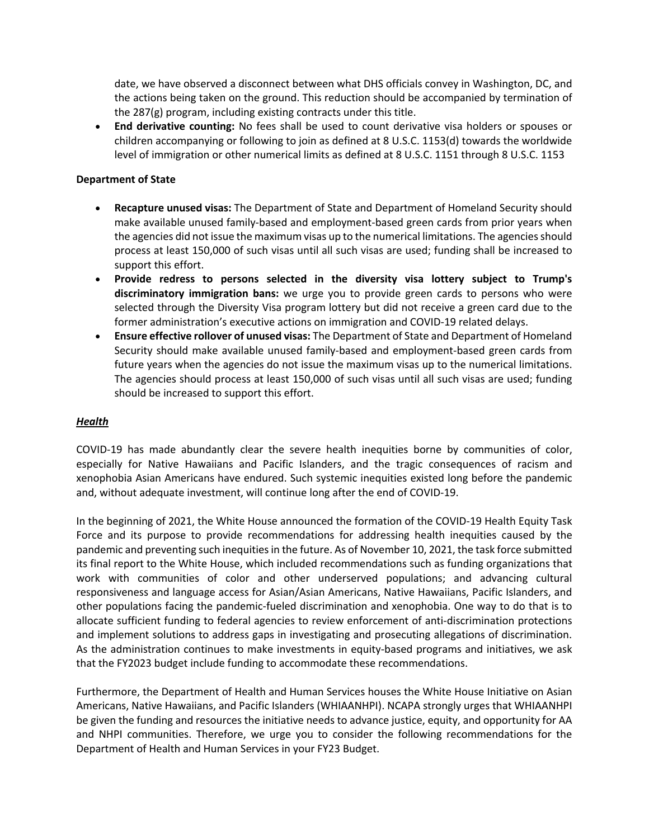date, we have observed a disconnect between what DHS officials convey in Washington, DC, and the actions being taken on the ground. This reduction should be accompanied by termination of the 287(g) program, including existing contracts under this title.

• **End derivative counting:** No fees shall be used to count derivative visa holders or spouses or children accompanying or following to join as defined at 8 U.S.C. 1153(d) towards the worldwide level of immigration or other numerical limits as defined at 8 U.S.C. 1151 through 8 U.S.C. 1153

#### **Department of State**

- **Recapture unused visas:** The Department of State and Department of Homeland Security should make available unused family-based and employment-based green cards from prior years when the agencies did not issue the maximum visas up to the numerical limitations. The agencies should process at least 150,000 of such visas until all such visas are used; funding shall be increased to support this effort.
- **Provide redress to persons selected in the diversity visa lottery subject to Trump's discriminatory immigration bans:** we urge you to provide green cards to persons who were selected through the Diversity Visa program lottery but did not receive a green card due to the former administration's executive actions on immigration and COVID-19 related delays.
- **Ensure effective rollover of unused visas:** The Department of State and Department of Homeland Security should make available unused family-based and employment-based green cards from future years when the agencies do not issue the maximum visas up to the numerical limitations. The agencies should process at least 150,000 of such visas until all such visas are used; funding should be increased to support this effort.

#### *Health*

COVID-19 has made abundantly clear the severe health inequities borne by communities of color, especially for Native Hawaiians and Pacific Islanders, and the tragic consequences of racism and xenophobia Asian Americans have endured. Such systemic inequities existed long before the pandemic and, without adequate investment, will continue long after the end of COVID-19.

In the beginning of 2021, the White House announced the formation of the COVID-19 Health Equity Task Force and its purpose to provide recommendations for addressing health inequities caused by the pandemic and preventing such inequities in the future. As of November 10, 2021, the task force submitted its final report to the White House, which included recommendations such as funding organizations that work with communities of color and other underserved populations; and advancing cultural responsiveness and language access for Asian/Asian Americans, Native Hawaiians, Pacific Islanders, and other populations facing the pandemic-fueled discrimination and xenophobia. One way to do that is to allocate sufficient funding to federal agencies to review enforcement of anti-discrimination protections and implement solutions to address gaps in investigating and prosecuting allegations of discrimination. As the administration continues to make investments in equity-based programs and initiatives, we ask that the FY2023 budget include funding to accommodate these recommendations.

Furthermore, the Department of Health and Human Services houses the White House Initiative on Asian Americans, Native Hawaiians, and Pacific Islanders (WHIAANHPI). NCAPA strongly urges that WHIAANHPI be given the funding and resources the initiative needs to advance justice, equity, and opportunity for AA and NHPI communities. Therefore, we urge you to consider the following recommendations for the Department of Health and Human Services in your FY23 Budget.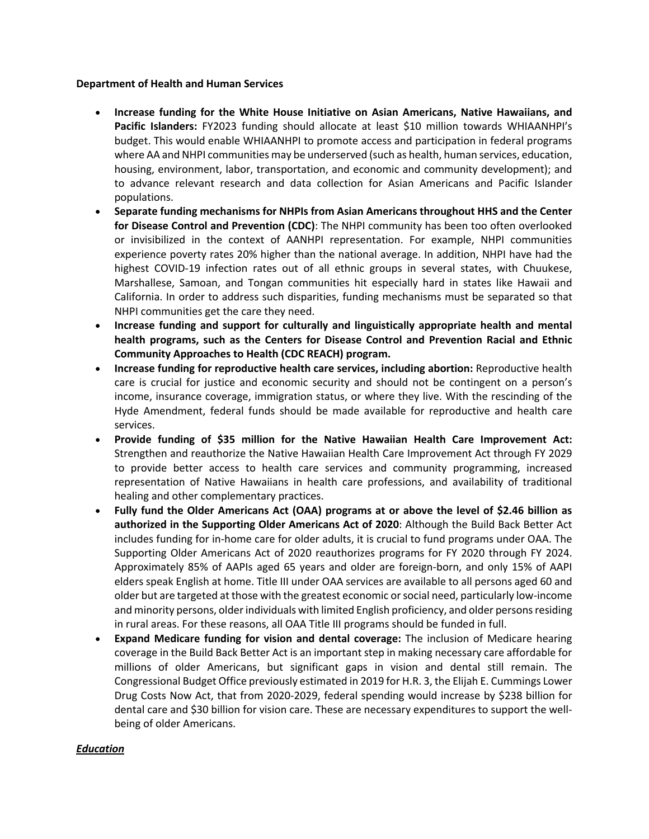#### **Department of Health and Human Services**

- **Increase funding for the White House Initiative on Asian Americans, Native Hawaiians, and Pacific Islanders:** FY2023 funding should allocate at least \$10 million towards WHIAANHPI's budget. This would enable WHIAANHPI to promote access and participation in federal programs where AA and NHPI communities may be underserved (such as health, human services, education, housing, environment, labor, transportation, and economic and community development); and to advance relevant research and data collection for Asian Americans and Pacific Islander populations.
- **Separate funding mechanisms for NHPIs from Asian Americans throughout HHS and the Center for Disease Control and Prevention (CDC)**: The NHPI community has been too often overlooked or invisibilized in the context of AANHPI representation. For example, NHPI communities experience poverty rates 20% higher than the national average. In addition, NHPI have had the highest COVID-19 infection rates out of all ethnic groups in several states, with Chuukese, Marshallese, Samoan, and Tongan communities hit especially hard in states like Hawaii and California. In order to address such disparities, funding mechanisms must be separated so that NHPI communities get the care they need.
- **Increase funding and support for culturally and linguistically appropriate health and mental health programs, such as the Centers for Disease Control and Prevention Racial and Ethnic Community Approaches to Health (CDC REACH) program.**
- **Increase funding for reproductive health care services, including abortion:** Reproductive health care is crucial for justice and economic security and should not be contingent on a person's income, insurance coverage, immigration status, or where they live. With the rescinding of the Hyde Amendment, federal funds should be made available for reproductive and health care services.
- **Provide funding of \$35 million for the Native Hawaiian Health Care Improvement Act:**  Strengthen and reauthorize the Native Hawaiian Health Care Improvement Act through FY 2029 to provide better access to health care services and community programming, increased representation of Native Hawaiians in health care professions, and availability of traditional healing and other complementary practices.
- **Fully fund the Older Americans Act (OAA) programs at or above the level of \$2.46 billion as authorized in the Supporting Older Americans Act of 2020**: Although the Build Back Better Act includes funding for in-home care for older adults, it is crucial to fund programs under OAA. The Supporting Older Americans Act of 2020 reauthorizes programs for FY 2020 through FY 2024. Approximately 85% of AAPIs aged 65 years and older are foreign-born, and only 15% of AAPI elders speak English at home. Title III under OAA services are available to all persons aged 60 and older but are targeted at those with the greatest economic or social need, particularly low-income and minority persons, older individuals with limited English proficiency, and older persons residing in rural areas. For these reasons, all OAA Title III programs should be funded in full.
- **Expand Medicare funding for vision and dental coverage:** The inclusion of Medicare hearing coverage in the Build Back Better Act is an important step in making necessary care affordable for millions of older Americans, but significant gaps in vision and dental still remain. The Congressional Budget Office previously estimated in 2019 for H.R. 3, the Elijah E. Cummings Lower Drug Costs Now Act, that from 2020-2029, federal spending would increase by \$238 billion for dental care and \$30 billion for vision care. These are necessary expenditures to support the wellbeing of older Americans.

### *Education*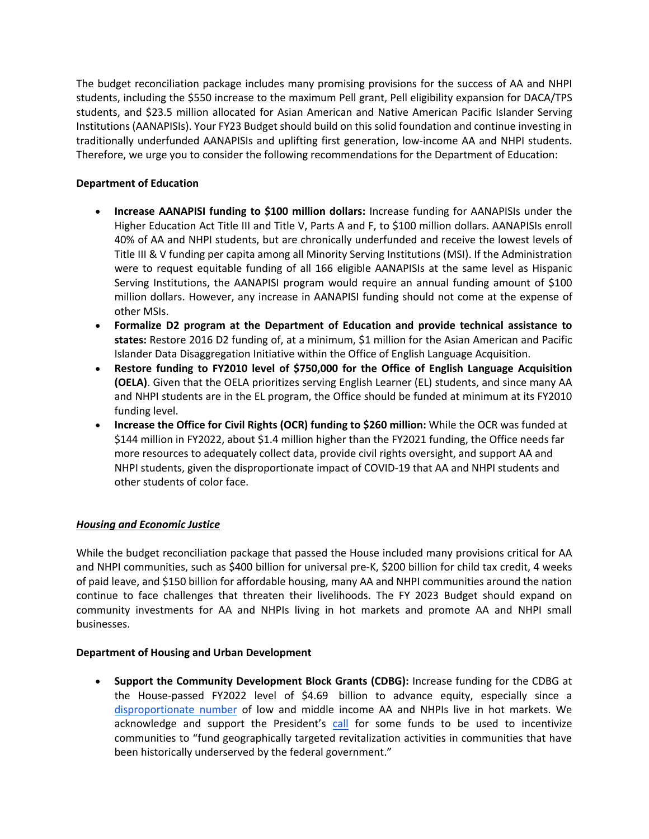The budget reconciliation package includes many promising provisions for the success of AA and NHPI students, including the \$550 increase to the maximum Pell grant, Pell eligibility expansion for DACA/TPS students, and \$23.5 million allocated for Asian American and Native American Pacific Islander Serving Institutions (AANAPISIs). Your FY23 Budget should build on this solid foundation and continue investing in traditionally underfunded AANAPISIs and uplifting first generation, low-income AA and NHPI students. Therefore, we urge you to consider the following recommendations for the Department of Education:

## **Department of Education**

- **Increase AANAPISI funding to \$100 million dollars:** Increase funding for AANAPISIs under the Higher Education Act Title III and Title V, Parts A and F, to \$100 million dollars. AANAPISIs enroll 40% of AA and NHPI students, but are chronically underfunded and receive the lowest levels of Title III & V funding per capita among all Minority Serving Institutions (MSI). If the Administration were to request equitable funding of all 166 eligible AANAPISIs at the same level as Hispanic Serving Institutions, the AANAPISI program would require an annual funding amount of \$100 million dollars. However, any increase in AANAPISI funding should not come at the expense of other MSIs.
- **Formalize D2 program at the Department of Education and provide technical assistance to states:** Restore 2016 D2 funding of, at a minimum, \$1 million for the Asian American and Pacific Islander Data Disaggregation Initiative within the Office of English Language Acquisition.
- **Restore funding to FY2010 level of \$750,000 for the Office of English Language Acquisition (OELA)**. Given that the OELA prioritizes serving English Learner (EL) students, and since many AA and NHPI students are in the EL program, the Office should be funded at minimum at its FY2010 funding level.
- **Increase the Office for Civil Rights (OCR) funding to \$260 million:** While the OCR was funded at \$144 million in FY2022, about \$1.4 million higher than the FY2021 funding, the Office needs far more resources to adequately collect data, provide civil rights oversight, and support AA and NHPI students, given the disproportionate impact of COVID-19 that AA and NHPI students and other students of color face.

# *Housing and Economic Justice*

While the budget reconciliation package that passed the House included many provisions critical for AA and NHPI communities, such as \$400 billion for universal pre-K, \$200 billion for child tax credit, 4 weeks of paid leave, and \$150 billion for affordable housing, many AA and NHPI communities around the nation continue to face challenges that threaten their livelihoods. The FY 2023 Budget should expand on community investments for AA and NHPIs living in hot markets and promote AA and NHPI small businesses.

### **Department of Housing and Urban Development**

• **Support the Community Development Block Grants (CDBG):** Increase funding for the CDBG at the House-passed FY2022 level of \$4.69 billion to advance equity, especially since a disproportionate number of low and middle income AA and NHPIs live in hot markets. We acknowledge and support the President's call for some funds to be used to incentivize communities to "fund geographically targeted revitalization activities in communities that have been historically underserved by the federal government."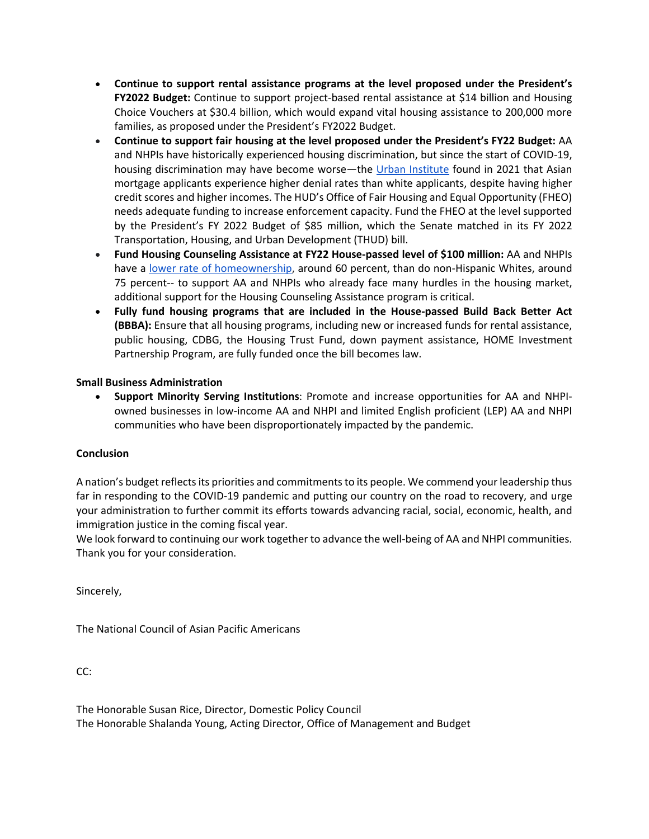- **Continue to support rental assistance programs at the level proposed under the President's FY2022 Budget:** Continue to support project-based rental assistance at \$14 billion and Housing Choice Vouchers at \$30.4 billion, which would expand vital housing assistance to 200,000 more families, as proposed under the President's FY2022 Budget.
- **Continue to support fair housing at the level proposed under the President's FY22 Budget:** AA and NHPIs have historically experienced housing discrimination, but since the start of COVID-19, housing discrimination may have become worse—the Urban Institute found in 2021 that Asian mortgage applicants experience higher denial rates than white applicants, despite having higher credit scores and higher incomes. The HUD's Office of Fair Housing and Equal Opportunity (FHEO) needs adequate funding to increase enforcement capacity. Fund the FHEO at the level supported by the President's FY 2022 Budget of \$85 million, which the Senate matched in its FY 2022 Transportation, Housing, and Urban Development (THUD) bill.
- **Fund Housing Counseling Assistance at FY22 House-passed level of \$100 million:** AA and NHPIs have a lower rate of homeownership, around 60 percent, than do non-Hispanic Whites, around 75 percent-- to support AA and NHPIs who already face many hurdles in the housing market, additional support for the Housing Counseling Assistance program is critical.
- **Fully fund housing programs that are included in the House-passed Build Back Better Act (BBBA):** Ensure that all housing programs, including new or increased funds for rental assistance, public housing, CDBG, the Housing Trust Fund, down payment assistance, HOME Investment Partnership Program, are fully funded once the bill becomes law.

# **Small Business Administration**

• **Support Minority Serving Institutions**: Promote and increase opportunities for AA and NHPIowned businesses in low-income AA and NHPI and limited English proficient (LEP) AA and NHPI communities who have been disproportionately impacted by the pandemic.

### **Conclusion**

A nation's budget reflects its priorities and commitments to its people. We commend your leadership thus far in responding to the COVID-19 pandemic and putting our country on the road to recovery, and urge your administration to further commit its efforts towards advancing racial, social, economic, health, and immigration justice in the coming fiscal year.

We look forward to continuing our work together to advance the well-being of AA and NHPI communities. Thank you for your consideration.

Sincerely,

The National Council of Asian Pacific Americans

CC:

The Honorable Susan Rice, Director, Domestic Policy Council The Honorable Shalanda Young, Acting Director, Office of Management and Budget